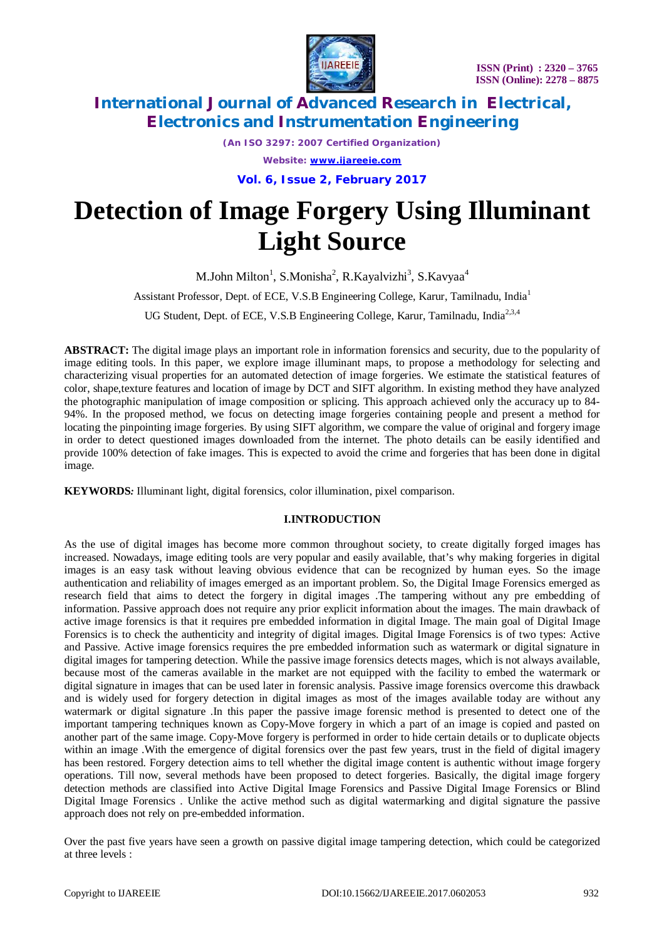

*(An ISO 3297: 2007 Certified Organization)*

*Website: [www.ijareeie.com](http://www.ijareeie.com)*

**Vol. 6, Issue 2, February 2017**

# **Detection of Image Forgery Using Illuminant Light Source**

M.John Milton<sup>1</sup>, S.Monisha<sup>2</sup>, R.Kayalvizhi<sup>3</sup>, S.Kavyaa<sup>4</sup> Assistant Professor, Dept. of ECE, V.S.B Engineering College, Karur, Tamilnadu, India<sup>1</sup>

UG Student, Dept. of ECE, V.S.B Engineering College, Karur, Tamilnadu, India<sup>2,3,4</sup>

**ABSTRACT:** The digital image plays an important role in information forensics and security, due to the popularity of image editing tools. In this paper, we explore image illuminant maps, to propose a methodology for selecting and characterizing visual properties for an automated detection of image forgeries. We estimate the statistical features of color, shape,texture features and location of image by DCT and SIFT algorithm. In existing method they have analyzed the photographic manipulation of image composition or splicing. This approach achieved only the accuracy up to 84- 94%. In the proposed method, we focus on detecting image forgeries containing people and present a method for locating the pinpointing image forgeries. By using SIFT algorithm, we compare the value of original and forgery image in order to detect questioned images downloaded from the internet. The photo details can be easily identified and provide 100% detection of fake images. This is expected to avoid the crime and forgeries that has been done in digital image.

**KEYWORDS***:* Illuminant light, digital forensics, color illumination, pixel comparison.

### **I.INTRODUCTION**

As the use of digital images has become more common throughout society, to create digitally forged images has increased. Nowadays, image editing tools are very popular and easily available, that's why making forgeries in digital images is an easy task without leaving obvious evidence that can be recognized by human eyes. So the image authentication and reliability of images emerged as an important problem. So, the Digital Image Forensics emerged as research field that aims to detect the forgery in digital images .The tampering without any pre embedding of information. Passive approach does not require any prior explicit information about the images. The main drawback of active image forensics is that it requires pre embedded information in digital Image. The main goal of Digital Image Forensics is to check the authenticity and integrity of digital images. Digital Image Forensics is of two types: Active and Passive. Active image forensics requires the pre embedded information such as watermark or digital signature in digital images for tampering detection. While the passive image forensics detects mages, which is not always available, because most of the cameras available in the market are not equipped with the facility to embed the watermark or digital signature in images that can be used later in forensic analysis. Passive image forensics overcome this drawback and is widely used for forgery detection in digital images as most of the images available today are without any watermark or digital signature .In this paper the passive image forensic method is presented to detect one of the important tampering techniques known as Copy-Move forgery in which a part of an image is copied and pasted on another part of the same image. Copy-Move forgery is performed in order to hide certain details or to duplicate objects within an image .With the emergence of digital forensics over the past few years, trust in the field of digital imagery has been restored. Forgery detection aims to tell whether the digital image content is authentic without image forgery operations. Till now, several methods have been proposed to detect forgeries. Basically, the digital image forgery detection methods are classified into Active Digital Image Forensics and Passive Digital Image Forensics or Blind Digital Image Forensics . Unlike the active method such as digital watermarking and digital signature the passive approach does not rely on pre-embedded information.

Over the past five years have seen a growth on passive digital image tampering detection, which could be categorized at three levels :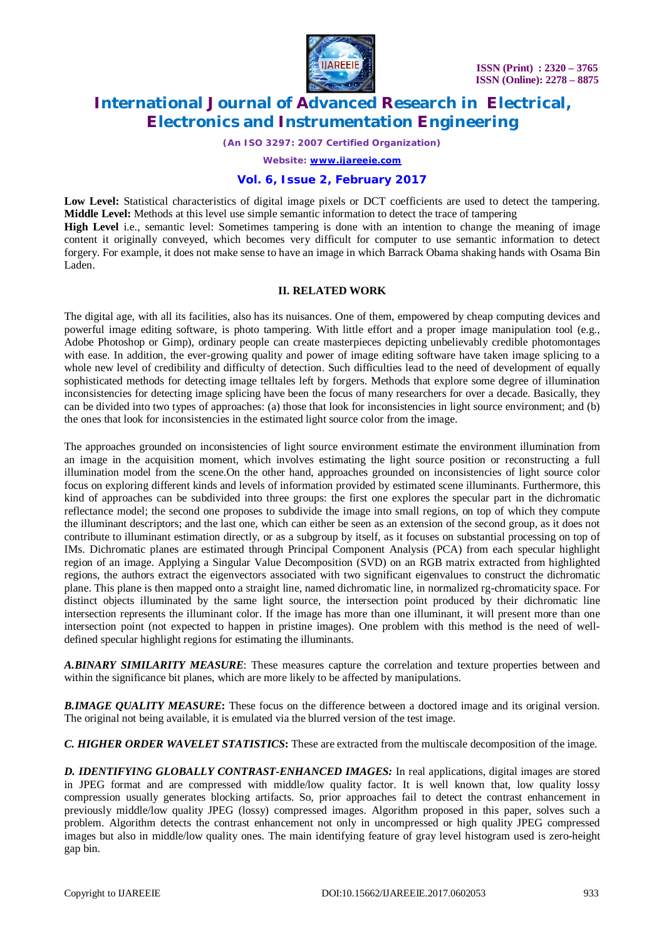

*(An ISO 3297: 2007 Certified Organization)*

*Website: [www.ijareeie.com](http://www.ijareeie.com)*

### **Vol. 6, Issue 2, February 2017**

**Low Level:** Statistical characteristics of digital image pixels or DCT coefficients are used to detect the tampering. **Middle Level:** Methods at this level use simple semantic information to detect the trace of tampering **High Level** i.e., semantic level: Sometimes tampering is done with an intention to change the meaning of image content it originally conveyed, which becomes very difficult for computer to use semantic information to detect forgery. For example, it does not make sense to have an image in which Barrack Obama shaking hands with Osama Bin

### **II. RELATED WORK**

The digital age, with all its facilities, also has its nuisances. One of them, empowered by cheap computing devices and powerful image editing software, is photo tampering. With little effort and a proper image manipulation tool (e.g., Adobe Photoshop or Gimp), ordinary people can create masterpieces depicting unbelievably credible photomontages with ease. In addition, the ever-growing quality and power of image editing software have taken image splicing to a whole new level of credibility and difficulty of detection. Such difficulties lead to the need of development of equally sophisticated methods for detecting image telltales left by forgers. Methods that explore some degree of illumination inconsistencies for detecting image splicing have been the focus of many researchers for over a decade. Basically, they can be divided into two types of approaches: (a) those that look for inconsistencies in light source environment; and (b) the ones that look for inconsistencies in the estimated light source color from the image.

The approaches grounded on inconsistencies of light source environment estimate the environment illumination from an image in the acquisition moment, which involves estimating the light source position or reconstructing a full illumination model from the scene.On the other hand, approaches grounded on inconsistencies of light source color focus on exploring different kinds and levels of information provided by estimated scene illuminants. Furthermore, this kind of approaches can be subdivided into three groups: the first one explores the specular part in the dichromatic reflectance model; the second one proposes to subdivide the image into small regions, on top of which they compute the illuminant descriptors; and the last one, which can either be seen as an extension of the second group, as it does not contribute to illuminant estimation directly, or as a subgroup by itself, as it focuses on substantial processing on top of IMs. Dichromatic planes are estimated through Principal Component Analysis (PCA) from each specular highlight region of an image. Applying a Singular Value Decomposition (SVD) on an RGB matrix extracted from highlighted regions, the authors extract the eigenvectors associated with two significant eigenvalues to construct the dichromatic plane. This plane is then mapped onto a straight line, named dichromatic line, in normalized rg-chromaticity space. For distinct objects illuminated by the same light source, the intersection point produced by their dichromatic line intersection represents the illuminant color. If the image has more than one illuminant, it will present more than one intersection point (not expected to happen in pristine images). One problem with this method is the need of welldefined specular highlight regions for estimating the illuminants.

*A.BINARY SIMILARITY MEASURE*: These measures capture the correlation and texture properties between and within the significance bit planes, which are more likely to be affected by manipulations.

**B.IMAGE QUALITY MEASURE:** These focus on the difference between a doctored image and its original version. The original not being available, it is emulated via the blurred version of the test image.

*C. HIGHER ORDER WAVELET STATISTICS***:** These are extracted from the multiscale decomposition of the image.

*D. IDENTIFYING GLOBALLY CONTRAST-ENHANCED IMAGES:* In real applications, digital images are stored in JPEG format and are compressed with middle/low quality factor. It is well known that, low quality lossy compression usually generates blocking artifacts. So, prior approaches fail to detect the contrast enhancement in previously middle/low quality JPEG (lossy) compressed images. Algorithm proposed in this paper, solves such a problem. Algorithm detects the contrast enhancement not only in uncompressed or high quality JPEG compressed images but also in middle/low quality ones. The main identifying feature of gray level histogram used is zero-height gap bin.

Laden<sup>1</sup>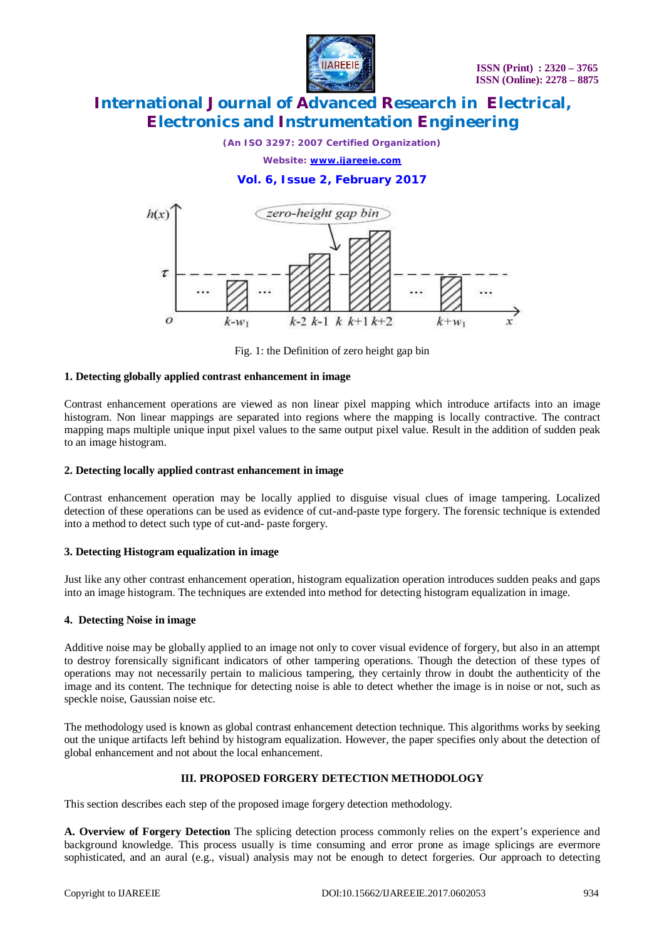

*(An ISO 3297: 2007 Certified Organization)*

*Website: [www.ijareeie.com](http://www.ijareeie.com)*

## **Vol. 6, Issue 2, February 2017**



Fig. 1: the Definition of zero height gap bin

### **1. Detecting globally applied contrast enhancement in image**

Contrast enhancement operations are viewed as non linear pixel mapping which introduce artifacts into an image histogram. Non linear mappings are separated into regions where the mapping is locally contractive. The contract mapping maps multiple unique input pixel values to the same output pixel value. Result in the addition of sudden peak to an image histogram.

### **2. Detecting locally applied contrast enhancement in image**

Contrast enhancement operation may be locally applied to disguise visual clues of image tampering. Localized detection of these operations can be used as evidence of cut-and-paste type forgery. The forensic technique is extended into a method to detect such type of cut-and- paste forgery.

### **3. Detecting Histogram equalization in image**

Just like any other contrast enhancement operation, histogram equalization operation introduces sudden peaks and gaps into an image histogram. The techniques are extended into method for detecting histogram equalization in image.

### **4. Detecting Noise in image**

Additive noise may be globally applied to an image not only to cover visual evidence of forgery, but also in an attempt to destroy forensically significant indicators of other tampering operations. Though the detection of these types of operations may not necessarily pertain to malicious tampering, they certainly throw in doubt the authenticity of the image and its content. The technique for detecting noise is able to detect whether the image is in noise or not, such as speckle noise, Gaussian noise etc.

The methodology used is known as global contrast enhancement detection technique. This algorithms works by seeking out the unique artifacts left behind by histogram equalization. However, the paper specifies only about the detection of global enhancement and not about the local enhancement.

### **III. PROPOSED FORGERY DETECTION METHODOLOGY**

This section describes each step of the proposed image forgery detection methodology.

**A. Overview of Forgery Detection** The splicing detection process commonly relies on the expert's experience and background knowledge. This process usually is time consuming and error prone as image splicings are evermore sophisticated, and an aural (e.g., visual) analysis may not be enough to detect forgeries. Our approach to detecting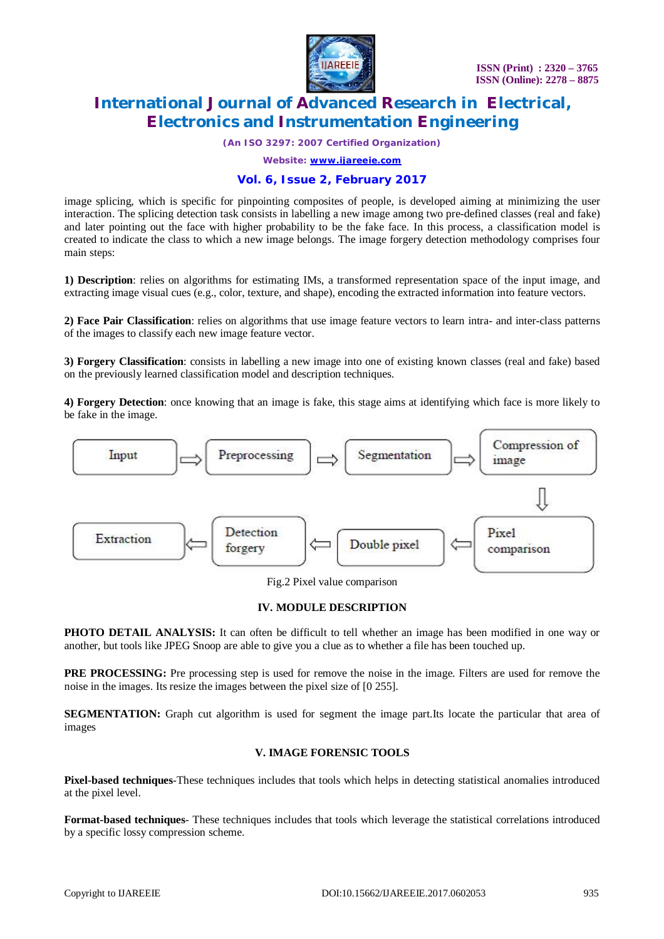

*(An ISO 3297: 2007 Certified Organization)*

*Website: [www.ijareeie.com](http://www.ijareeie.com)*

### **Vol. 6, Issue 2, February 2017**

image splicing, which is specific for pinpointing composites of people, is developed aiming at minimizing the user interaction. The splicing detection task consists in labelling a new image among two pre-defined classes (real and fake) and later pointing out the face with higher probability to be the fake face. In this process, a classification model is created to indicate the class to which a new image belongs. The image forgery detection methodology comprises four main steps:

**1) Description**: relies on algorithms for estimating IMs, a transformed representation space of the input image, and extracting image visual cues (e.g., color, texture, and shape), encoding the extracted information into feature vectors.

**2) Face Pair Classification**: relies on algorithms that use image feature vectors to learn intra- and inter-class patterns of the images to classify each new image feature vector.

**3) Forgery Classification**: consists in labelling a new image into one of existing known classes (real and fake) based on the previously learned classification model and description techniques.

**4) Forgery Detection**: once knowing that an image is fake, this stage aims at identifying which face is more likely to be fake in the image.



Fig.2 Pixel value comparison

### **IV. MODULE DESCRIPTION**

**PHOTO DETAIL ANALYSIS:** It can often be difficult to tell whether an image has been modified in one way or another, but tools like JPEG Snoop are able to give you a clue as to whether a file has been touched up.

**PRE PROCESSING:** Pre processing step is used for remove the noise in the image. Filters are used for remove the noise in the images. Its resize the images between the pixel size of [0 255].

**SEGMENTATION:** Graph cut algorithm is used for segment the image part.Its locate the particular that area of images

### **V. IMAGE FORENSIC TOOLS**

**Pixel-based techniques**-These techniques includes that tools which helps in detecting statistical anomalies introduced at the pixel level.

**Format-based techniques**- These techniques includes that tools which leverage the statistical correlations introduced by a specific lossy compression scheme.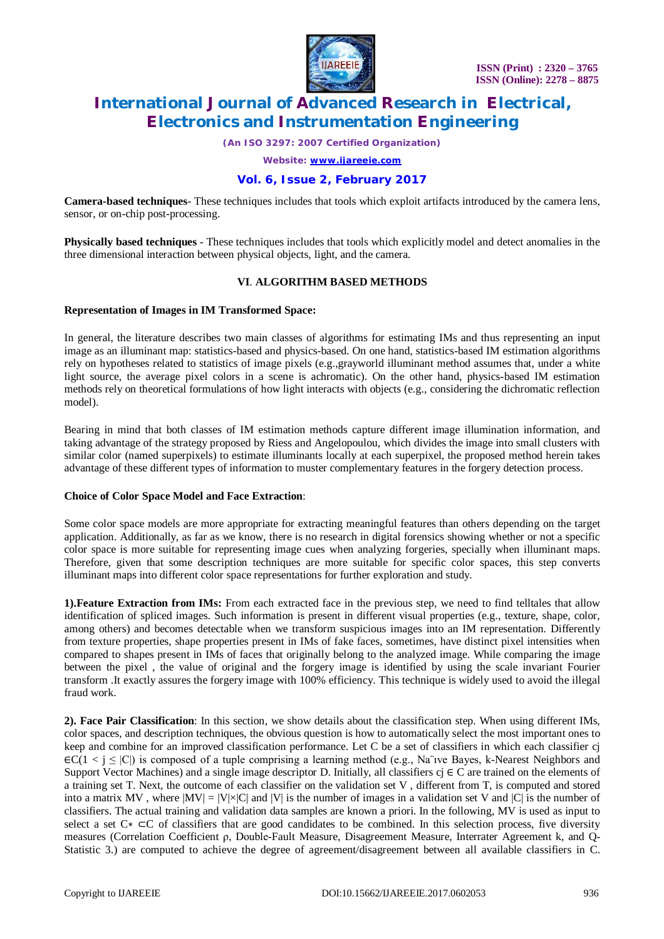

*(An ISO 3297: 2007 Certified Organization)*

*Website: [www.ijareeie.com](http://www.ijareeie.com)*

### **Vol. 6, Issue 2, February 2017**

**Camera-based techniques**- These techniques includes that tools which exploit artifacts introduced by the camera lens, sensor, or on-chip post-processing.

**Physically based techniques** - These techniques includes that tools which explicitly model and detect anomalies in the three dimensional interaction between physical objects, light, and the camera.

### **VI**. **ALGORITHM BASED METHODS**

#### **Representation of Images in IM Transformed Space:**

In general, the literature describes two main classes of algorithms for estimating IMs and thus representing an input image as an illuminant map: statistics-based and physics-based. On one hand, statistics-based IM estimation algorithms rely on hypotheses related to statistics of image pixels (e.g.,grayworld illuminant method assumes that, under a white light source, the average pixel colors in a scene is achromatic). On the other hand, physics-based IM estimation methods rely on theoretical formulations of how light interacts with objects (e.g., considering the dichromatic reflection model).

Bearing in mind that both classes of IM estimation methods capture different image illumination information, and taking advantage of the strategy proposed by Riess and Angelopoulou, which divides the image into small clusters with similar color (named superpixels) to estimate illuminants locally at each superpixel, the proposed method herein takes advantage of these different types of information to muster complementary features in the forgery detection process.

### **Choice of Color Space Model and Face Extraction**:

Some color space models are more appropriate for extracting meaningful features than others depending on the target application. Additionally, as far as we know, there is no research in digital forensics showing whether or not a specific color space is more suitable for representing image cues when analyzing forgeries, specially when illuminant maps. Therefore, given that some description techniques are more suitable for specific color spaces, this step converts illuminant maps into different color space representations for further exploration and study.

**1).Feature Extraction from IMs:** From each extracted face in the previous step, we need to find telltales that allow identification of spliced images. Such information is present in different visual properties (e.g., texture, shape, color, among others) and becomes detectable when we transform suspicious images into an IM representation. Differently from texture properties, shape properties present in IMs of fake faces, sometimes, have distinct pixel intensities when compared to shapes present in IMs of faces that originally belong to the analyzed image. While comparing the image between the pixel , the value of original and the forgery image is identified by using the scale invariant Fourier transform .It exactly assures the forgery image with 100% efficiency. This technique is widely used to avoid the illegal fraud work.

**2). Face Pair Classification**: In this section, we show details about the classification step. When using different IMs, color spaces, and description techniques, the obvious question is how to automatically select the most important ones to keep and combine for an improved classification performance. Let C be a set of classifiers in which each classifier cj  $\epsilon C(1 \lt j \leq |C|)$  is composed of a tuple comprising a learning method (e.g., Na¨ıve Bayes, k-Nearest Neighbors and Support Vector Machines) and a single image descriptor D. Initially, all classifiers  $c_j \in C$  are trained on the elements of a training set T. Next, the outcome of each classifier on the validation set V , different from T, is computed and stored into a matrix MV, where  $|MV| = |V| \times |C|$  and |V| is the number of images in a validation set V and  $|C|$  is the number of classifiers. The actual training and validation data samples are known a priori. In the following, MV is used as input to select a set C<sup>∗</sup> ⊂C of classifiers that are good candidates to be combined. In this selection process, five diversity measures (Correlation Coefficient ρ, Double-Fault Measure, Disagreement Measure, Interrater Agreement k, and Q-Statistic 3.) are computed to achieve the degree of agreement/disagreement between all available classifiers in C.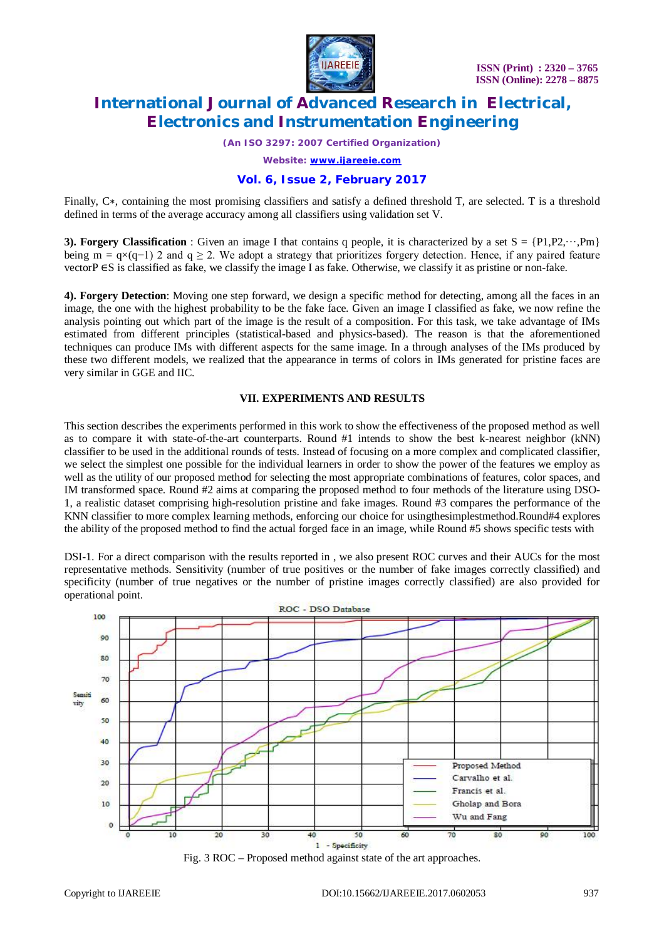

*(An ISO 3297: 2007 Certified Organization)*

*Website: [www.ijareeie.com](http://www.ijareeie.com)*

### **Vol. 6, Issue 2, February 2017**

Finally, C∗, containing the most promising classifiers and satisfy a defined threshold T, are selected. T is a threshold defined in terms of the average accuracy among all classifiers using validation set V.

**3). Forgery Classification** : Given an image I that contains q people, it is characterized by a set  $S = \{P1, P2, \dots, Pm\}$ being m = q×(q−1) 2 and q ≥ 2. We adopt a strategy that prioritizes forgery detection. Hence, if any paired feature vectorP ∈S is classified as fake, we classify the image I as fake. Otherwise, we classify it as pristine or non-fake.

**4). Forgery Detection**: Moving one step forward, we design a specific method for detecting, among all the faces in an image, the one with the highest probability to be the fake face. Given an image I classified as fake, we now refine the analysis pointing out which part of the image is the result of a composition. For this task, we take advantage of IMs estimated from different principles (statistical-based and physics-based). The reason is that the aforementioned techniques can produce IMs with different aspects for the same image. In a through analyses of the IMs produced by these two different models, we realized that the appearance in terms of colors in IMs generated for pristine faces are very similar in GGE and IIC.

### **VII. EXPERIMENTS AND RESULTS**

This section describes the experiments performed in this work to show the effectiveness of the proposed method as well as to compare it with state-of-the-art counterparts. Round #1 intends to show the best k-nearest neighbor (kNN) classifier to be used in the additional rounds of tests. Instead of focusing on a more complex and complicated classifier, we select the simplest one possible for the individual learners in order to show the power of the features we employ as well as the utility of our proposed method for selecting the most appropriate combinations of features, color spaces, and IM transformed space. Round #2 aims at comparing the proposed method to four methods of the literature using DSO-1, a realistic dataset comprising high-resolution pristine and fake images. Round #3 compares the performance of the KNN classifier to more complex learning methods, enforcing our choice for usingthesimplestmethod.Round#4 explores the ability of the proposed method to find the actual forged face in an image, while Round #5 shows specific tests with

DSI-1. For a direct comparison with the results reported in , we also present ROC curves and their AUCs for the most representative methods. Sensitivity (number of true positives or the number of fake images correctly classified) and specificity (number of true negatives or the number of pristine images correctly classified) are also provided for operational point.



Fig. 3 ROC – Proposed method against state of the art approaches.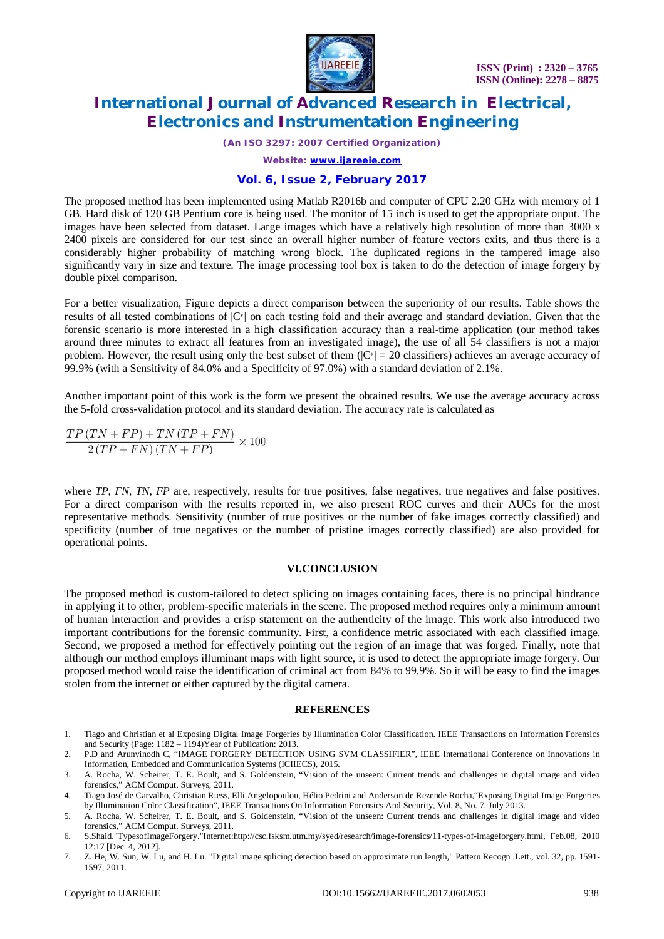

*(An ISO 3297: 2007 Certified Organization)*

*Website: [www.ijareeie.com](http://www.ijareeie.com)*

#### **Vol. 6, Issue 2, February 2017**

The proposed method has been implemented using Matlab R2016b and computer of CPU 2.20 GHz with memory of 1 GB. Hard disk of 120 GB Pentium core is being used. The monitor of 15 inch is used to get the appropriate ouput. The images have been selected from dataset. Large images which have a relatively high resolution of more than 3000 x 2400 pixels are considered for our test since an overall higher number of feature vectors exits, and thus there is a considerably higher probability of matching wrong block. The duplicated regions in the tampered image also significantly vary in size and texture. The image processing tool box is taken to do the detection of image forgery by double pixel comparison.

For a better visualization, Figure depicts a direct comparison between the superiority of our results. Table shows the results of all tested combinations of |C<sup>∗</sup> | on each testing fold and their average and standard deviation. Given that the forensic scenario is more interested in a high classification accuracy than a real-time application (our method takes around three minutes to extract all features from an investigated image), the use of all 54 classifiers is not a major problem. However, the result using only the best subset of them  $(|C^*| = 20$  classifiers) achieves an average accuracy of 99.9% (with a Sensitivity of 84.0% and a Specificity of 97.0%) with a standard deviation of 2.1%.

Another important point of this work is the form we present the obtained results. We use the average accuracy across the 5-fold cross-validation protocol and its standard deviation. The accuracy rate is calculated as

 $\frac{TP(TN+FP) + TN(TP+FN)}{2(TP+FN)(TN+FP)} \times 100$ 

where *TP*, *FN*, *TN*, *FP* are, respectively, results for true positives, false negatives, true negatives and false positives. For a direct comparison with the results reported in, we also present ROC curves and their AUCs for the most representative methods. Sensitivity (number of true positives or the number of fake images correctly classified) and specificity (number of true negatives or the number of pristine images correctly classified) are also provided for operational points.

### **VI.CONCLUSION**

The proposed method is custom-tailored to detect splicing on images containing faces, there is no principal hindrance in applying it to other, problem-specific materials in the scene. The proposed method requires only a minimum amount of human interaction and provides a crisp statement on the authenticity of the image. This work also introduced two important contributions for the forensic community. First, a confidence metric associated with each classified image. Second, we proposed a method for effectively pointing out the region of an image that was forged. Finally, note that although our method employs illuminant maps with light source, it is used to detect the appropriate image forgery. Our proposed method would raise the identification of criminal act from 84% to 99.9%. So it will be easy to find the images stolen from the internet or either captured by the digital camera.

#### **REFERENCES**

- 1. Tiago and Christian et al Exposing Digital Image Forgeries by Illumination Color Classification. IEEE Transactions on Information Forensics and Security (Page: 1182 – 1194)Year of Publication: 2013.
- 2. P.D and Arunvinodh C, "IMAGE FORGERY DETECTION USING SVM CLASSIFIER", IEEE International Conference on Innovations in Information, Embedded and Communication Systems (ICIIECS), 2015.
- 3. A. Rocha, W. Scheirer, T. E. Boult, and S. Goldenstein, "Vision of the unseen: Current trends and challenges in digital image and video forensics," ACM Comput. Surveys, 2011.
- 4. Tiago José de Carvalho, Christian Riess, Elli Angelopoulou, Hélio Pedrini and Anderson de Rezende Rocha,"Exposing Digital Image Forgeries by Illumination Color Classification", IEEE Transactions On Information Forensics And Security, Vol. 8, No. 7, July 2013.
- 5. A. Rocha, W. Scheirer, T. E. Boult, and S. Goldenstein, "Vision of the unseen: Current trends and challenges in digital image and video forensics," ACM Comput. Surveys, 2011.
- 6. S.Shaid."TypesofImageForgery."Internet:<http://csc.fsksm.utm.my/syed/research/image-forensics/11-types-of-imageforgery.html,>Feb.08, 2010 12:17 [Dec. 4, 2012].
- 7. Z. He, W. Sun, W. Lu, and H. Lu. "Digital image splicing detection based on approximate run length," Pattern Recogn .Lett., vol. 32, pp. 1591- 1597, 2011.